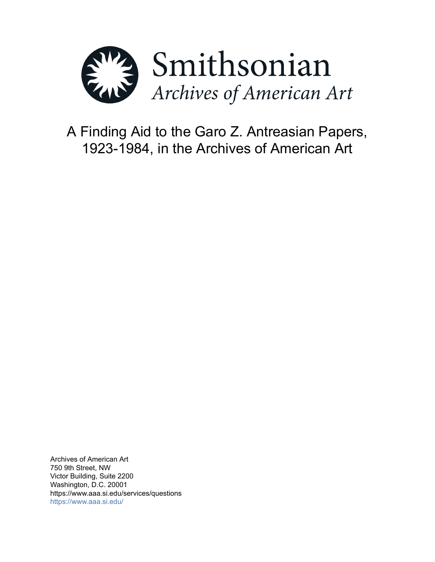

A Finding Aid to the Garo Z. Antreasian Papers, 1923-1984, in the Archives of American Art

Archives of American Art 750 9th Street, NW Victor Building, Suite 2200 Washington, D.C. 20001 https://www.aaa.si.edu/services/questions <https://www.aaa.si.edu/>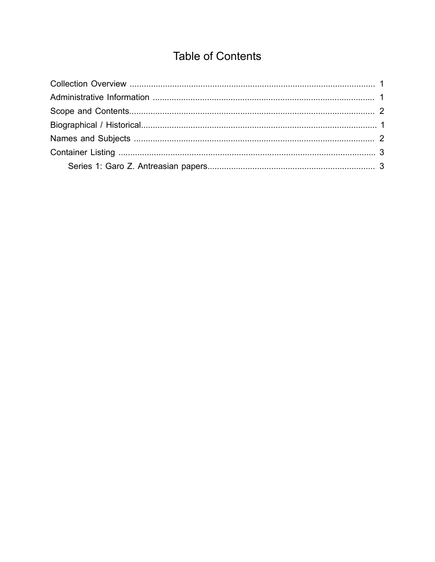# **Table of Contents**

<span id="page-1-0"></span>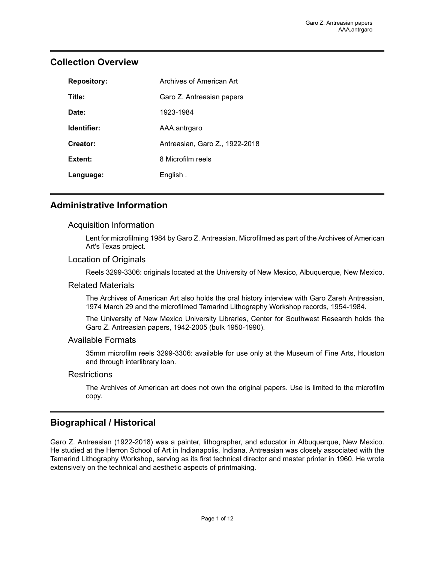| <b>Repository:</b> | Archives of American Art       |
|--------------------|--------------------------------|
| Title:             | Garo Z. Antreasian papers      |
| Date:              | 1923-1984                      |
| Identifier:        | AAA.antrgaro                   |
| Creator:           | Antreasian, Garo Z., 1922-2018 |
| Extent:            | 8 Microfilm reels              |
| Language:          | English.                       |

## <span id="page-2-0"></span>**Collection Overview**

## <span id="page-2-1"></span>**Administrative Information**

#### Acquisition Information

Lent for microfilming 1984 by Garo Z. Antreasian. Microfilmed as part of the Archives of American Art's Texas project.

#### Location of Originals

Reels 3299-3306: originals located at the University of New Mexico, Albuquerque, New Mexico.

#### Related Materials

The Archives of American Art also holds the oral history interview with Garo Zareh Antreasian, 1974 March 29 and the microfilmed Tamarind Lithography Workshop records, 1954-1984.

The University of New Mexico University Libraries, Center for Southwest Research holds the Garo Z. Antreasian papers, 1942-2005 (bulk 1950-1990).

#### Available Formats

35mm microfilm reels 3299-3306: available for use only at the Museum of Fine Arts, Houston and through interlibrary loan.

#### **Restrictions**

The Archives of American art does not own the original papers. Use is limited to the microfilm copy.

## <span id="page-2-2"></span>**Biographical / Historical**

Garo Z. Antreasian (1922-2018) was a painter, lithographer, and educator in Albuquerque, New Mexico. He studied at the Herron School of Art in Indianapolis, Indiana. Antreasian was closely associated with the Tamarind Lithography Workshop, serving as its first technical director and master printer in 1960. He wrote extensively on the technical and aesthetic aspects of printmaking.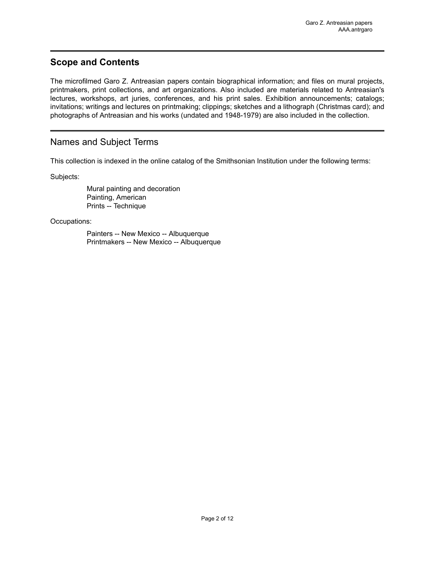### <span id="page-3-0"></span>**Scope and Contents**

The microfilmed Garo Z. Antreasian papers contain biographical information; and files on mural projects, printmakers, print collections, and art organizations. Also included are materials related to Antreasian's lectures, workshops, art juries, conferences, and his print sales. Exhibition announcements; catalogs; invitations; writings and lectures on printmaking; clippings; sketches and a lithograph (Christmas card); and photographs of Antreasian and his works (undated and 1948-1979) are also included in the collection.

### <span id="page-3-1"></span>Names and Subject Terms

This collection is indexed in the online catalog of the Smithsonian Institution under the following terms:

Subjects:

Mural painting and decoration Painting, American Prints -- Technique

Occupations:

Painters -- New Mexico -- Albuquerque Printmakers -- New Mexico -- Albuquerque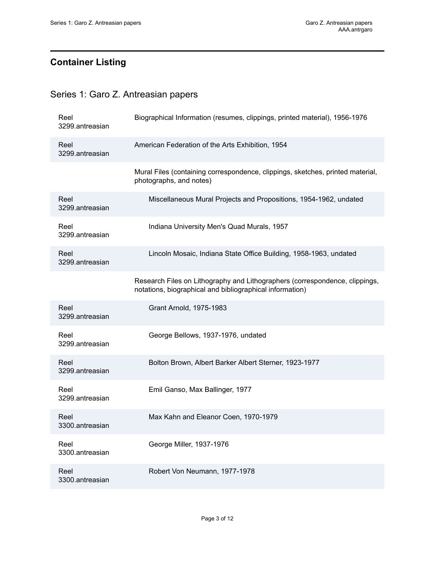## <span id="page-4-0"></span>**Container Listing**

## <span id="page-4-1"></span>Series 1: Garo Z. Antreasian papers

| Reel<br>3299.antreasian | Biographical Information (resumes, clippings, printed material), 1956-1976                                                              |
|-------------------------|-----------------------------------------------------------------------------------------------------------------------------------------|
| Reel<br>3299.antreasian | American Federation of the Arts Exhibition, 1954                                                                                        |
|                         | Mural Files (containing correspondence, clippings, sketches, printed material,<br>photographs, and notes)                               |
| Reel<br>3299.antreasian | Miscellaneous Mural Projects and Propositions, 1954-1962, undated                                                                       |
| Reel<br>3299.antreasian | Indiana University Men's Quad Murals, 1957                                                                                              |
| Reel<br>3299.antreasian | Lincoln Mosaic, Indiana State Office Building, 1958-1963, undated                                                                       |
|                         | Research Files on Lithography and Lithographers (correspondence, clippings,<br>notations, biographical and bibliographical information) |
| Reel<br>3299.antreasian | Grant Arnold, 1975-1983                                                                                                                 |
| Reel<br>3299.antreasian | George Bellows, 1937-1976, undated                                                                                                      |
| Reel<br>3299.antreasian | Bolton Brown, Albert Barker Albert Sterner, 1923-1977                                                                                   |
| Reel<br>3299.antreasian | Emil Ganso, Max Ballinger, 1977                                                                                                         |
| Reel<br>3300.antreasian | Max Kahn and Eleanor Coen, 1970-1979                                                                                                    |
| Reel<br>3300.antreasian | George Miller, 1937-1976                                                                                                                |
| Reel<br>3300.antreasian | Robert Von Neumann, 1977-1978                                                                                                           |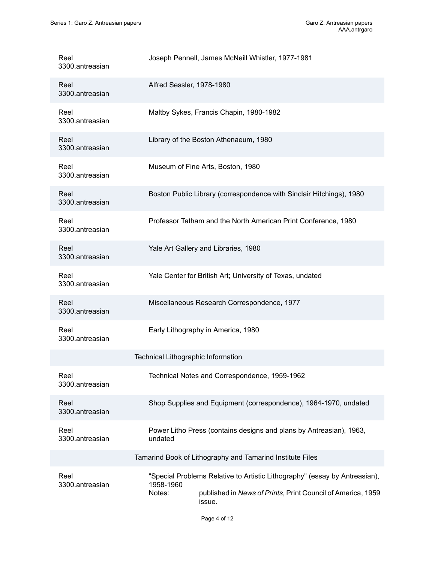| Reel<br>3300.antreasian | Joseph Pennell, James McNeill Whistler, 1977-1981                                                                                                                          |
|-------------------------|----------------------------------------------------------------------------------------------------------------------------------------------------------------------------|
| Reel<br>3300.antreasian | Alfred Sessler, 1978-1980                                                                                                                                                  |
| Reel<br>3300.antreasian | Maltby Sykes, Francis Chapin, 1980-1982                                                                                                                                    |
| Reel<br>3300.antreasian | Library of the Boston Athenaeum, 1980                                                                                                                                      |
| Reel<br>3300.antreasian | Museum of Fine Arts, Boston, 1980                                                                                                                                          |
| Reel<br>3300.antreasian | Boston Public Library (correspondence with Sinclair Hitchings), 1980                                                                                                       |
| Reel<br>3300.antreasian | Professor Tatham and the North American Print Conference, 1980                                                                                                             |
| Reel<br>3300.antreasian | Yale Art Gallery and Libraries, 1980                                                                                                                                       |
| Reel<br>3300.antreasian | Yale Center for British Art; University of Texas, undated                                                                                                                  |
| Reel<br>3300.antreasian | Miscellaneous Research Correspondence, 1977                                                                                                                                |
| Reel<br>3300.antreasian | Early Lithography in America, 1980                                                                                                                                         |
|                         | Technical Lithographic Information                                                                                                                                         |
| Reel<br>3300.antreasian | Technical Notes and Correspondence, 1959-1962                                                                                                                              |
| Reel<br>3300.antreasian | Shop Supplies and Equipment (correspondence), 1964-1970, undated                                                                                                           |
| Reel<br>3300.antreasian | Power Litho Press (contains designs and plans by Antreasian), 1963,<br>undated                                                                                             |
|                         | Tamarind Book of Lithography and Tamarind Institute Files                                                                                                                  |
| Reel<br>3300.antreasian | "Special Problems Relative to Artistic Lithography" (essay by Antreasian),<br>1958-1960<br>published in News of Prints, Print Council of America, 1959<br>Notes:<br>issue. |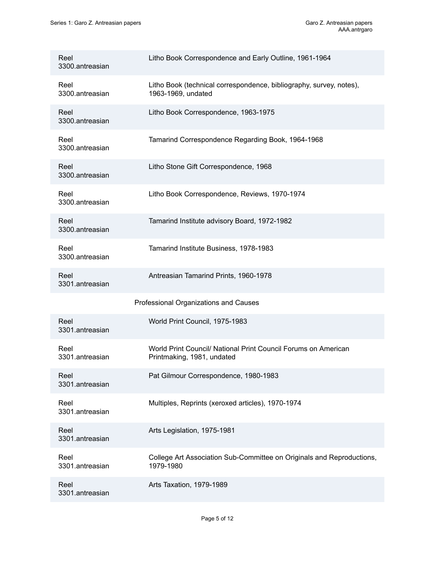| Reel<br>3300.antreasian | Litho Book Correspondence and Early Outline, 1961-1964                                       |
|-------------------------|----------------------------------------------------------------------------------------------|
| Reel<br>3300.antreasian | Litho Book (technical correspondence, bibliography, survey, notes),<br>1963-1969, undated    |
| Reel<br>3300.antreasian | Litho Book Correspondence, 1963-1975                                                         |
| Reel<br>3300.antreasian | Tamarind Correspondence Regarding Book, 1964-1968                                            |
| Reel<br>3300.antreasian | Litho Stone Gift Correspondence, 1968                                                        |
| Reel<br>3300.antreasian | Litho Book Correspondence, Reviews, 1970-1974                                                |
| Reel<br>3300.antreasian | Tamarind Institute advisory Board, 1972-1982                                                 |
| Reel<br>3300.antreasian | Tamarind Institute Business, 1978-1983                                                       |
|                         |                                                                                              |
| Reel<br>3301.antreasian | Antreasian Tamarind Prints, 1960-1978                                                        |
|                         | Professional Organizations and Causes                                                        |
| Reel<br>3301.antreasian | World Print Council, 1975-1983                                                               |
| Reel<br>3301.antreasian | World Print Council/ National Print Council Forums on American<br>Printmaking, 1981, undated |
| Reel<br>3301.antreasian | Pat Gilmour Correspondence, 1980-1983                                                        |
| Reel<br>3301.antreasian | Multiples, Reprints (xeroxed articles), 1970-1974                                            |
| Reel<br>3301.antreasian | Arts Legislation, 1975-1981                                                                  |
| Reel<br>3301.antreasian | College Art Association Sub-Committee on Originals and Reproductions,<br>1979-1980           |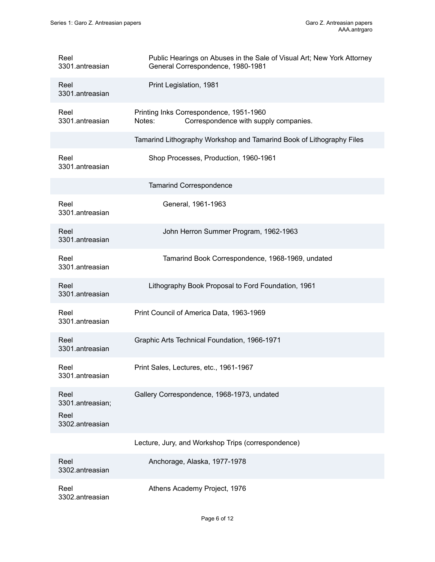| Reel<br>3301.antreasian                             | Public Hearings on Abuses in the Sale of Visual Art; New York Attorney<br>General Correspondence, 1980-1981 |
|-----------------------------------------------------|-------------------------------------------------------------------------------------------------------------|
| Reel<br>3301.antreasian                             | Print Legislation, 1981                                                                                     |
| Reel<br>3301.antreasian                             | Printing Inks Correspondence, 1951-1960<br>Correspondence with supply companies.<br>Notes:                  |
|                                                     | Tamarind Lithography Workshop and Tamarind Book of Lithography Files                                        |
| Reel<br>3301.antreasian                             | Shop Processes, Production, 1960-1961                                                                       |
|                                                     | <b>Tamarind Correspondence</b>                                                                              |
| Reel<br>3301.antreasian                             | General, 1961-1963                                                                                          |
| Reel<br>3301.antreasian                             | John Herron Summer Program, 1962-1963                                                                       |
| Reel<br>3301.antreasian                             | Tamarind Book Correspondence, 1968-1969, undated                                                            |
| Reel<br>3301.antreasian                             | Lithography Book Proposal to Ford Foundation, 1961                                                          |
| Reel<br>3301.antreasian                             | Print Council of America Data, 1963-1969                                                                    |
| Reel<br>3301.antreasian                             | Graphic Arts Technical Foundation, 1966-1971                                                                |
| Reel<br>3301.antreasian                             | Print Sales, Lectures, etc., 1961-1967                                                                      |
| Reel<br>3301.antreasian;<br>Reel<br>3302.antreasian | Gallery Correspondence, 1968-1973, undated                                                                  |
|                                                     | Lecture, Jury, and Workshop Trips (correspondence)                                                          |
| Reel<br>3302.antreasian                             | Anchorage, Alaska, 1977-1978                                                                                |
| Reel<br>3302.antreasian                             | Athens Academy Project, 1976                                                                                |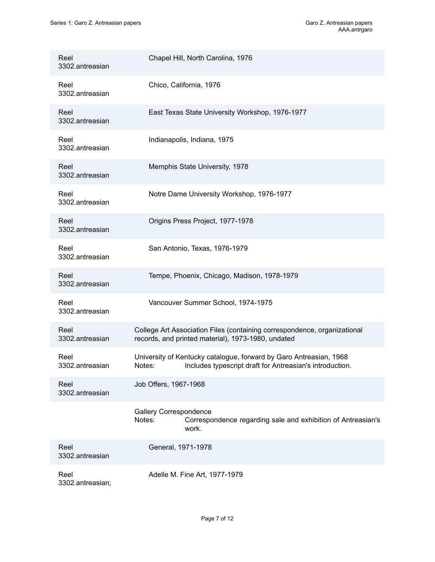| Reel<br>3302.antreasian  | Chapel Hill, North Carolina, 1976                                                                                                        |
|--------------------------|------------------------------------------------------------------------------------------------------------------------------------------|
| Reel<br>3302.antreasian  | Chico, California, 1976                                                                                                                  |
| Reel<br>3302.antreasian  | East Texas State University Workshop, 1976-1977                                                                                          |
| Reel<br>3302.antreasian  | Indianapolis, Indiana, 1975                                                                                                              |
| Reel<br>3302.antreasian  | Memphis State University, 1978                                                                                                           |
| Reel<br>3302.antreasian  | Notre Dame University Workshop, 1976-1977                                                                                                |
| Reel<br>3302.antreasian  | Origins Press Project, 1977-1978                                                                                                         |
| Reel<br>3302.antreasian  | San Antonio, Texas, 1976-1979                                                                                                            |
| Reel<br>3302.antreasian  | Tempe, Phoenix, Chicago, Madison, 1978-1979                                                                                              |
| Reel<br>3302.antreasian  | Vancouver Summer School, 1974-1975                                                                                                       |
| Reel<br>3302.antreasian  | College Art Association Files (containing correspondence, organizational<br>records, and printed material), 1973-1980, undated           |
| Reel<br>3302.antreasian  | University of Kentucky catalogue, forward by Garo Antreasian, 1968<br>Includes typescript draft for Antreasian's introduction.<br>Notes: |
| Reel<br>3302.antreasian  | Job Offers, 1967-1968                                                                                                                    |
|                          | <b>Gallery Correspondence</b><br>Notes:<br>Correspondence regarding sale and exhibition of Antreasian's<br>work.                         |
| Reel<br>3302.antreasian  | General, 1971-1978                                                                                                                       |
| Reel<br>3302.antreasian; | Adelle M. Fine Art, 1977-1979                                                                                                            |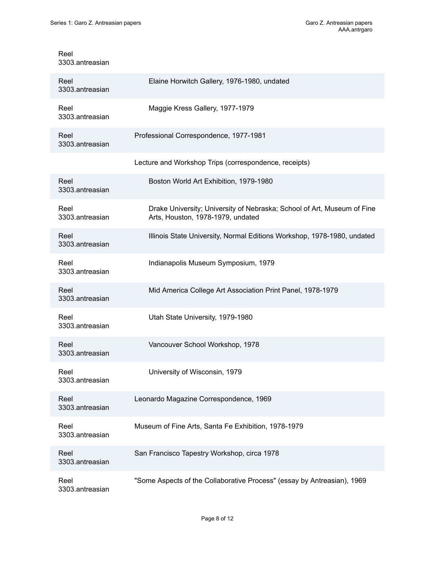Reel

| 3303.antreasian         |                                                                                                              |
|-------------------------|--------------------------------------------------------------------------------------------------------------|
| Reel<br>3303.antreasian | Elaine Horwitch Gallery, 1976-1980, undated                                                                  |
| Reel<br>3303.antreasian | Maggie Kress Gallery, 1977-1979                                                                              |
| Reel<br>3303.antreasian | Professional Correspondence, 1977-1981                                                                       |
|                         | Lecture and Workshop Trips (correspondence, receipts)                                                        |
| Reel<br>3303.antreasian | Boston World Art Exhibition, 1979-1980                                                                       |
| Reel<br>3303.antreasian | Drake University; University of Nebraska; School of Art, Museum of Fine<br>Arts, Houston, 1978-1979, undated |
| Reel<br>3303.antreasian | Illinois State University, Normal Editions Workshop, 1978-1980, undated                                      |
| Reel<br>3303.antreasian | Indianapolis Museum Symposium, 1979                                                                          |
| Reel<br>3303.antreasian | Mid America College Art Association Print Panel, 1978-1979                                                   |
| Reel<br>3303.antreasian | Utah State University, 1979-1980                                                                             |
| Reel<br>3303.antreasian | Vancouver School Workshop, 1978                                                                              |
| Reel<br>3303.antreasian | University of Wisconsin, 1979                                                                                |
| Reel<br>3303.antreasian | Leonardo Magazine Correspondence, 1969                                                                       |
| Reel<br>3303.antreasian | Museum of Fine Arts, Santa Fe Exhibition, 1978-1979                                                          |
| Reel<br>3303.antreasian | San Francisco Tapestry Workshop, circa 1978                                                                  |
| Reel<br>3303.antreasian | "Some Aspects of the Collaborative Process" (essay by Antreasian), 1969                                      |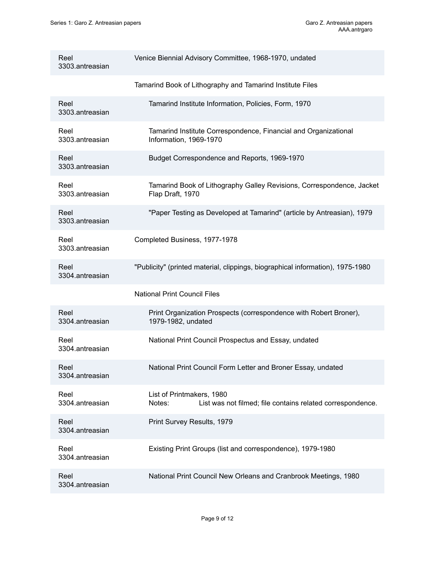| Reel<br>3303.antreasian | Venice Biennial Advisory Committee, 1968-1970, undated                                            |
|-------------------------|---------------------------------------------------------------------------------------------------|
|                         | Tamarind Book of Lithography and Tamarind Institute Files                                         |
| Reel<br>3303.antreasian | Tamarind Institute Information, Policies, Form, 1970                                              |
| Reel<br>3303.antreasian | Tamarind Institute Correspondence, Financial and Organizational<br>Information, 1969-1970         |
| Reel<br>3303.antreasian | Budget Correspondence and Reports, 1969-1970                                                      |
| Reel<br>3303.antreasian | Tamarind Book of Lithography Galley Revisions, Correspondence, Jacket<br>Flap Draft, 1970         |
| Reel<br>3303.antreasian | "Paper Testing as Developed at Tamarind" (article by Antreasian), 1979                            |
| Reel<br>3303.antreasian | Completed Business, 1977-1978                                                                     |
| Reel<br>3304.antreasian | "Publicity" (printed material, clippings, biographical information), 1975-1980                    |
|                         | <b>National Print Council Files</b>                                                               |
| Reel<br>3304.antreasian | Print Organization Prospects (correspondence with Robert Broner),<br>1979-1982, undated           |
| Reel<br>3304.antreasian | National Print Council Prospectus and Essay, undated                                              |
| Reel<br>3304.antreasian | National Print Council Form Letter and Broner Essay, undated                                      |
| Reel<br>3304.antreasian | List of Printmakers, 1980<br>List was not filmed; file contains related correspondence.<br>Notes: |
| Reel<br>3304.antreasian | Print Survey Results, 1979                                                                        |
| Reel<br>3304.antreasian | Existing Print Groups (list and correspondence), 1979-1980                                        |
| Reel<br>3304.antreasian | National Print Council New Orleans and Cranbrook Meetings, 1980                                   |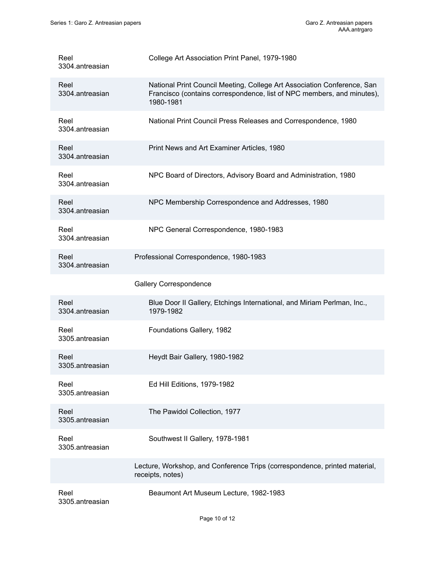| Reel<br>3304.antreasian | College Art Association Print Panel, 1979-1980                                                                                                                 |
|-------------------------|----------------------------------------------------------------------------------------------------------------------------------------------------------------|
| Reel<br>3304.antreasian | National Print Council Meeting, College Art Association Conference, San<br>Francisco (contains correspondence, list of NPC members, and minutes),<br>1980-1981 |
| Reel<br>3304.antreasian | National Print Council Press Releases and Correspondence, 1980                                                                                                 |
| Reel<br>3304.antreasian | Print News and Art Examiner Articles, 1980                                                                                                                     |
| Reel<br>3304.antreasian | NPC Board of Directors, Advisory Board and Administration, 1980                                                                                                |
| Reel<br>3304.antreasian | NPC Membership Correspondence and Addresses, 1980                                                                                                              |
| Reel<br>3304.antreasian | NPC General Correspondence, 1980-1983                                                                                                                          |
| Reel<br>3304.antreasian | Professional Correspondence, 1980-1983                                                                                                                         |
|                         | <b>Gallery Correspondence</b>                                                                                                                                  |
| Reel<br>3304.antreasian | Blue Door II Gallery, Etchings International, and Miriam Perlman, Inc.,<br>1979-1982                                                                           |
| Reel<br>3305.antreasian | Foundations Gallery, 1982                                                                                                                                      |
| Reel<br>3305.antreasian | Heydt Bair Gallery, 1980-1982                                                                                                                                  |
| Reel<br>3305.antreasian | Ed Hill Editions, 1979-1982                                                                                                                                    |
| Reel<br>3305.antreasian | The Pawidol Collection, 1977                                                                                                                                   |
| Reel<br>3305.antreasian | Southwest II Gallery, 1978-1981                                                                                                                                |
|                         | Lecture, Workshop, and Conference Trips (correspondence, printed material,<br>receipts, notes)                                                                 |
| Reel<br>3305.antreasian | Beaumont Art Museum Lecture, 1982-1983                                                                                                                         |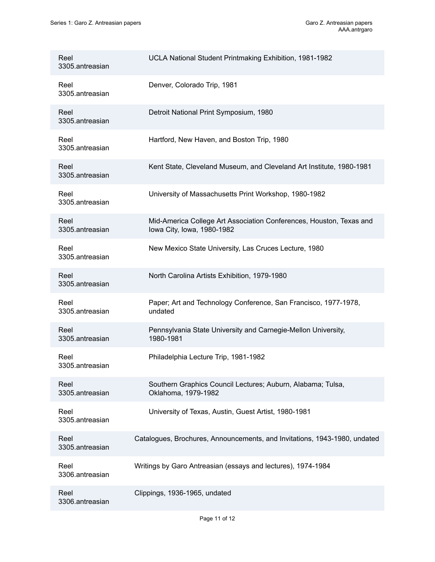| Reel<br>3305.antreasian | UCLA National Student Printmaking Exhibition, 1981-1982                                           |
|-------------------------|---------------------------------------------------------------------------------------------------|
| Reel<br>3305.antreasian | Denver, Colorado Trip, 1981                                                                       |
| Reel<br>3305.antreasian | Detroit National Print Symposium, 1980                                                            |
| Reel<br>3305.antreasian | Hartford, New Haven, and Boston Trip, 1980                                                        |
| Reel<br>3305.antreasian | Kent State, Cleveland Museum, and Cleveland Art Institute, 1980-1981                              |
| Reel<br>3305.antreasian | University of Massachusetts Print Workshop, 1980-1982                                             |
| Reel<br>3305.antreasian | Mid-America College Art Association Conferences, Houston, Texas and<br>Iowa City, Iowa, 1980-1982 |
| Reel<br>3305.antreasian | New Mexico State University, Las Cruces Lecture, 1980                                             |
| Reel<br>3305.antreasian | North Carolina Artists Exhibition, 1979-1980                                                      |
| Reel<br>3305.antreasian | Paper; Art and Technology Conference, San Francisco, 1977-1978,<br>undated                        |
| Reel<br>3305.antreasian | Pennsylvania State University and Carnegie-Mellon University,<br>1980-1981                        |
| Reel<br>3305.antreasian | Philadelphia Lecture Trip, 1981-1982                                                              |
| Reel<br>3305.antreasian | Southern Graphics Council Lectures; Auburn, Alabama; Tulsa,<br>Oklahoma, 1979-1982                |
| Reel<br>3305.antreasian | University of Texas, Austin, Guest Artist, 1980-1981                                              |
| Reel<br>3305.antreasian | Catalogues, Brochures, Announcements, and Invitations, 1943-1980, undated                         |
| Reel<br>3306.antreasian | Writings by Garo Antreasian (essays and lectures), 1974-1984                                      |
| Reel<br>3306.antreasian | Clippings, 1936-1965, undated                                                                     |